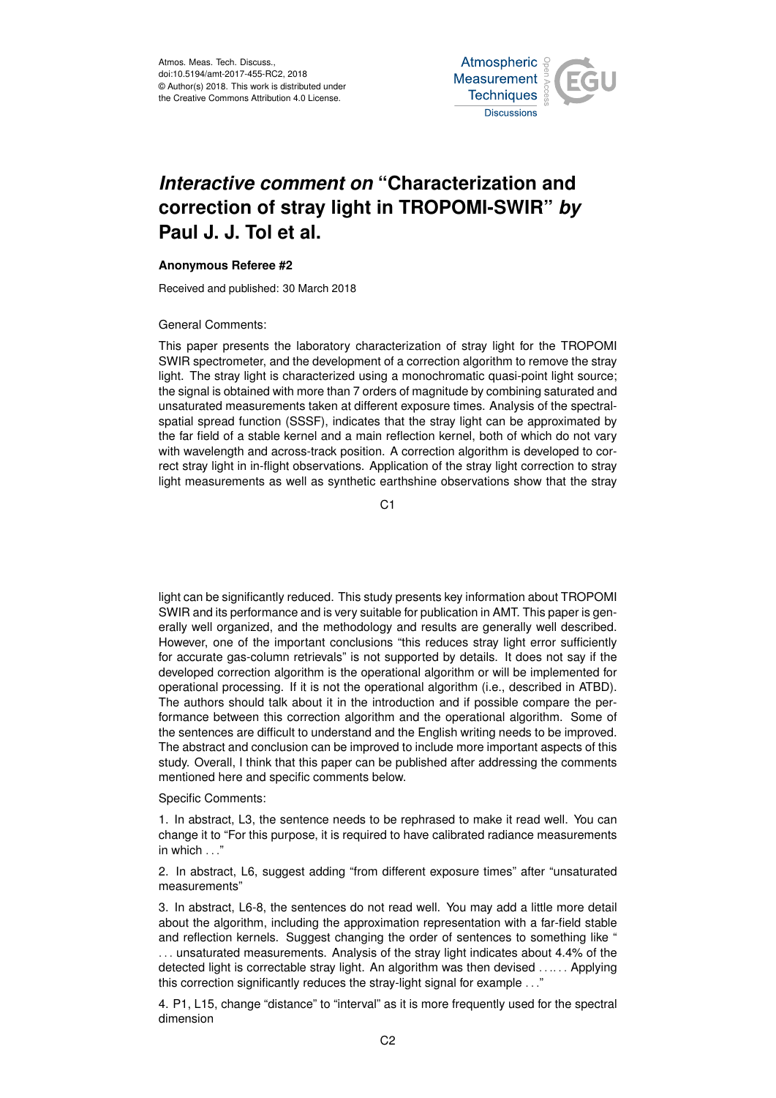Atmos. Meas. Tech. Discuss., doi:10.5194/amt-2017-455-RC2, 2018 © Author(s) 2018. This work is distributed under the Creative Commons Attribution 4.0 License.



## *Interactive comment on* **"Characterization and correction of stray light in TROPOMI-SWIR"** *by* **Paul J. J. Tol et al.**

## **Anonymous Referee #2**

Received and published: 30 March 2018

## General Comments:

This paper presents the laboratory characterization of stray light for the TROPOMI SWIR spectrometer, and the development of a correction algorithm to remove the stray light. The stray light is characterized using a monochromatic quasi-point light source; the signal is obtained with more than 7 orders of magnitude by combining saturated and unsaturated measurements taken at different exposure times. Analysis of the spectralspatial spread function (SSSF), indicates that the stray light can be approximated by the far field of a stable kernel and a main reflection kernel, both of which do not vary with wavelength and across-track position. A correction algorithm is developed to correct stray light in in-flight observations. Application of the stray light correction to stray light measurements as well as synthetic earthshine observations show that the stray

C1

light can be significantly reduced. This study presents key information about TROPOMI SWIR and its performance and is very suitable for publication in AMT. This paper is generally well organized, and the methodology and results are generally well described. However, one of the important conclusions "this reduces stray light error sufficiently for accurate gas-column retrievals" is not supported by details. It does not say if the developed correction algorithm is the operational algorithm or will be implemented for operational processing. If it is not the operational algorithm (i.e., described in ATBD). The authors should talk about it in the introduction and if possible compare the performance between this correction algorithm and the operational algorithm. Some of the sentences are difficult to understand and the English writing needs to be improved. The abstract and conclusion can be improved to include more important aspects of this study. Overall, I think that this paper can be published after addressing the comments mentioned here and specific comments below.

## Specific Comments:

1. In abstract, L3, the sentence needs to be rephrased to make it read well. You can change it to "For this purpose, it is required to have calibrated radiance measurements in which . . ."

2. In abstract, L6, suggest adding "from different exposure times" after "unsaturated measurements"

3. In abstract, L6-8, the sentences do not read well. You may add a little more detail about the algorithm, including the approximation representation with a far-field stable and reflection kernels. Suggest changing the order of sentences to something like " . . . unsaturated measurements. Analysis of the stray light indicates about 4.4% of the detected light is correctable stray light. An algorithm was then devised ...... Applying this correction significantly reduces the stray-light signal for example . . ."

4. P1, L15, change "distance" to "interval" as it is more frequently used for the spectral dimension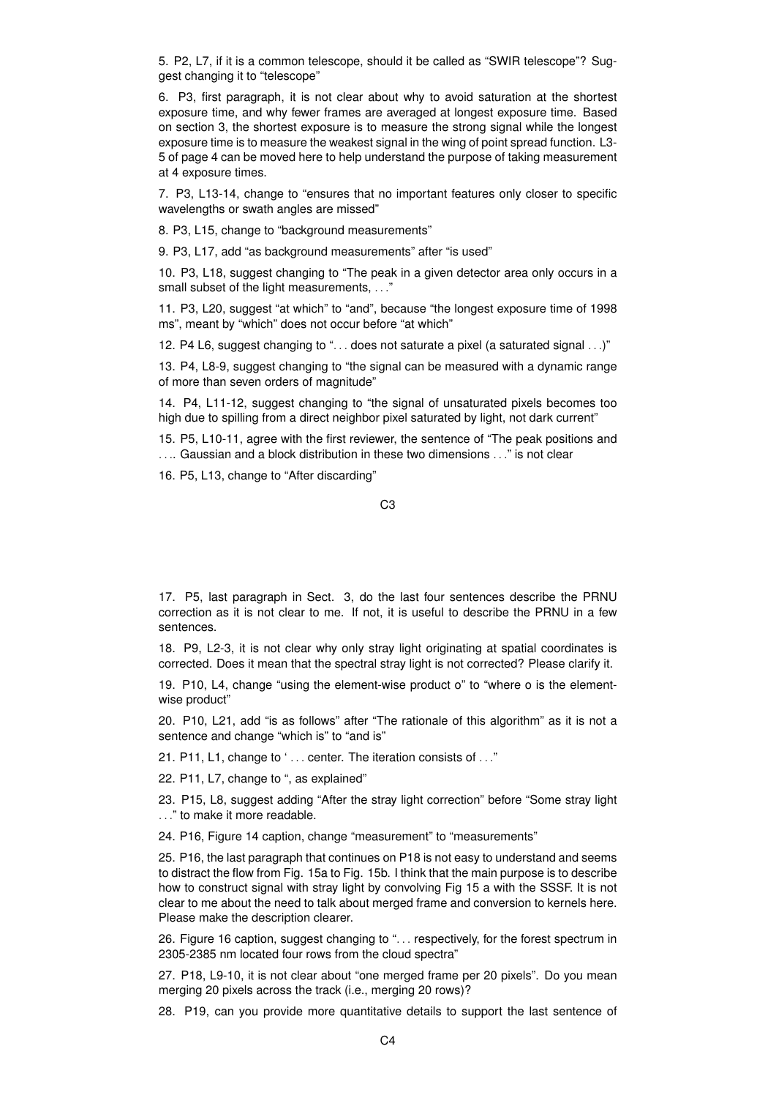5. P2, L7, if it is a common telescope, should it be called as "SWIR telescope"? Suggest changing it to "telescope"

6. P3, first paragraph, it is not clear about why to avoid saturation at the shortest exposure time, and why fewer frames are averaged at longest exposure time. Based on section 3, the shortest exposure is to measure the strong signal while the longest exposure time is to measure the weakest signal in the wing of point spread function. L3- 5 of page 4 can be moved here to help understand the purpose of taking measurement at 4 exposure times.

7. P3, L13-14, change to "ensures that no important features only closer to specific wavelengths or swath angles are missed"

8. P3, L15, change to "background measurements"

9. P3, L17, add "as background measurements" after "is used"

10. P3, L18, suggest changing to "The peak in a given detector area only occurs in a small subset of the light measurements, . . ."

11. P3, L20, suggest "at which" to "and", because "the longest exposure time of 1998 ms", meant by "which" does not occur before "at which"

12. P4 L6, suggest changing to "... does not saturate a pixel (a saturated signal ...)"

13. P4, L8-9, suggest changing to "the signal can be measured with a dynamic range of more than seven orders of magnitude"

14. P4, L11-12, suggest changing to "the signal of unsaturated pixels becomes too high due to spilling from a direct neighbor pixel saturated by light, not dark current"

15. P5, L10-11, agree with the first reviewer, the sentence of "The peak positions and . . .. Gaussian and a block distribution in these two dimensions . . ." is not clear

16. P5, L13, change to "After discarding"

17. P5, last paragraph in Sect. 3, do the last four sentences describe the PRNU correction as it is not clear to me. If not, it is useful to describe the PRNU in a few sentences.

18. P9, L2-3, it is not clear why only stray light originating at spatial coordinates is corrected. Does it mean that the spectral stray light is not corrected? Please clarify it.

19. P10, L4, change "using the element-wise product o" to "where o is the elementwise product"

20. P10, L21, add "is as follows" after "The rationale of this algorithm" as it is not a sentence and change "which is" to "and is"

21. P11, L1, change to '... center. The iteration consists of ..."

22. P11, L7, change to ", as explained"

23. P15, L8, suggest adding "After the stray light correction" before "Some stray light . . ." to make it more readable.

24. P16, Figure 14 caption, change "measurement" to "measurements"

25. P16, the last paragraph that continues on P18 is not easy to understand and seems to distract the flow from Fig. 15a to Fig. 15b. I think that the main purpose is to describe how to construct signal with stray light by convolving Fig 15 a with the SSSF. It is not clear to me about the need to talk about merged frame and conversion to kernels here. Please make the description clearer.

26. Figure 16 caption, suggest changing to ". . . respectively, for the forest spectrum in 2305-2385 nm located four rows from the cloud spectra"

27. P18, L9-10, it is not clear about "one merged frame per 20 pixels". Do you mean merging 20 pixels across the track (i.e., merging 20 rows)?

28. P19, can you provide more quantitative details to support the last sentence of

C3